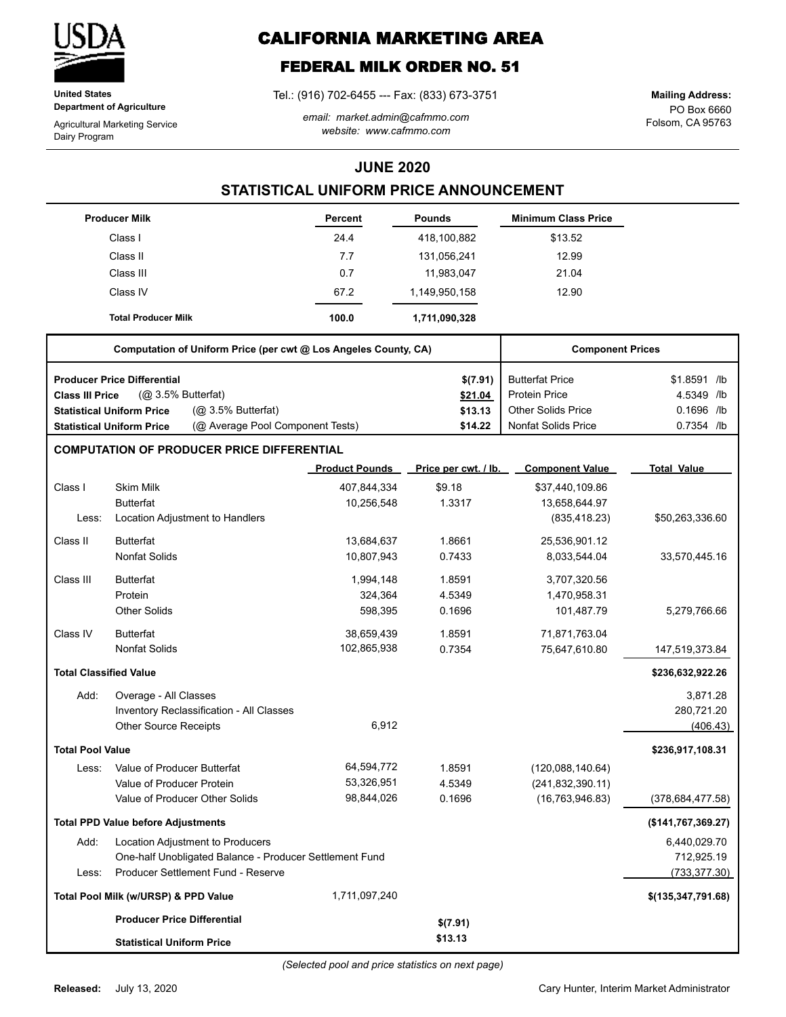

**United States Department of Agriculture**

Agricultural Marketing Service Dairy Program

# **CALIFORNIA MARKETING AREA**

# **FEDERAL MILK ORDER NO. 51**

Tel.: (916) 702-6455 --- Fax: (833) 673-3751

*email: market.admin@cafmmo.com website: www.cafmmo.com*

PO Box 6660 Folsom, CA 95763 **Mailing Address:**

### **JUNE 2020**

### **STATISTICAL UNIFORM PRICE ANNOUNCEMENT**

|                               | <b>Producer Milk</b>                                                 | <b>Percent</b>        | <b>Pounds</b>        | <b>Minimum Class Price</b> |                      |
|-------------------------------|----------------------------------------------------------------------|-----------------------|----------------------|----------------------------|----------------------|
|                               | Class I                                                              | 24.4                  | 418,100,882          | \$13.52                    |                      |
|                               | Class II                                                             | 7.7                   | 131,056,241          | 12.99                      |                      |
|                               | Class III                                                            | 0.7                   | 11,983,047           | 21.04                      |                      |
|                               | Class IV                                                             | 67.2                  | 1,149,950,158        | 12.90                      |                      |
|                               | <b>Total Producer Milk</b>                                           | 100.0                 | 1,711,090,328        |                            |                      |
|                               | Computation of Uniform Price (per cwt @ Los Angeles County, CA)      |                       |                      | <b>Component Prices</b>    |                      |
|                               | <b>Producer Price Differential</b>                                   |                       | \$(7.91)             | <b>Butterfat Price</b>     | \$1.8591 /lb         |
| <b>Class III Price</b>        | (@ 3.5% Butterfat)                                                   |                       | \$21.04              | <b>Protein Price</b>       | 4.5349 /lb           |
|                               | (@ 3.5% Butterfat)<br><b>Statistical Uniform Price</b>               |                       | \$13.13              | Other Solids Price         | 0.1696 /lb           |
|                               | (@ Average Pool Component Tests)<br><b>Statistical Uniform Price</b> |                       | \$14.22              | <b>Nonfat Solids Price</b> | 0.7354 /lb           |
|                               | <b>COMPUTATION OF PRODUCER PRICE DIFFERENTIAL</b>                    |                       |                      |                            |                      |
|                               |                                                                      | <b>Product Pounds</b> | Price per cwt. / lb. | <b>Component Value</b>     | <b>Total Value</b>   |
| Class I                       | <b>Skim Milk</b>                                                     | 407,844,334           | \$9.18               | \$37,440,109.86            |                      |
|                               | <b>Butterfat</b>                                                     | 10,256,548            | 1.3317               | 13,658,644.97              |                      |
| Less:                         | Location Adjustment to Handlers                                      |                       |                      | (835, 418.23)              | \$50,263,336.60      |
| Class II                      | <b>Butterfat</b>                                                     | 13,684,637            | 1.8661               | 25,536,901.12              |                      |
|                               | <b>Nonfat Solids</b>                                                 | 10,807,943            | 0.7433               | 8,033,544.04               | 33,570,445.16        |
| Class III                     | <b>Butterfat</b>                                                     | 1,994,148             | 1.8591               | 3,707,320.56               |                      |
|                               | Protein                                                              | 324,364               | 4.5349               | 1,470,958.31               |                      |
|                               | <b>Other Solids</b>                                                  | 598,395               | 0.1696               | 101,487.79                 | 5,279,766.66         |
| Class IV                      | <b>Butterfat</b>                                                     | 38,659,439            | 1.8591               | 71,871,763.04              |                      |
|                               | <b>Nonfat Solids</b>                                                 | 102,865,938           | 0.7354               | 75,647,610.80              | 147,519,373.84       |
| <b>Total Classified Value</b> |                                                                      |                       |                      |                            | \$236,632,922.26     |
| Add:                          | Overage - All Classes                                                |                       |                      |                            | 3,871.28             |
|                               | Inventory Reclassification - All Classes                             |                       |                      |                            | 280,721.20           |
|                               | Other Source Receipts                                                | 6,912                 |                      |                            | (406.43)             |
| <b>Total Pool Value</b>       |                                                                      |                       |                      |                            | \$236,917,108.31     |
| Less:                         | Value of Producer Butterfat                                          | 64,594,772            | 1.8591               | (120,088,140.64)           |                      |
|                               | Value of Producer Protein                                            | 53,326,951            | 4.5349               | (241, 832, 390.11)         |                      |
|                               | Value of Producer Other Solids                                       | 98,844,026            | 0.1696               | (16, 763, 946.83)          | (378, 684, 477, 58)  |
|                               | <b>Total PPD Value before Adjustments</b>                            |                       |                      |                            | (\$141,767,369.27)   |
| Add:                          | Location Adjustment to Producers                                     |                       |                      |                            | 6,440,029.70         |
|                               | One-half Unobligated Balance - Producer Settlement Fund              |                       |                      |                            | 712,925.19           |
| Less:                         | Producer Settlement Fund - Reserve                                   |                       |                      |                            | (733, 377.30)        |
|                               | Total Pool Milk (w/URSP) & PPD Value                                 | 1,711,097,240         |                      |                            | \$(135, 347, 791.68) |
|                               | <b>Producer Price Differential</b>                                   |                       | \$(7.91)             |                            |                      |
|                               | <b>Statistical Uniform Price</b>                                     |                       | \$13.13              |                            |                      |

*(Selected pool and price statistics on next page)*

Cary Hunter, Interim Market Administrator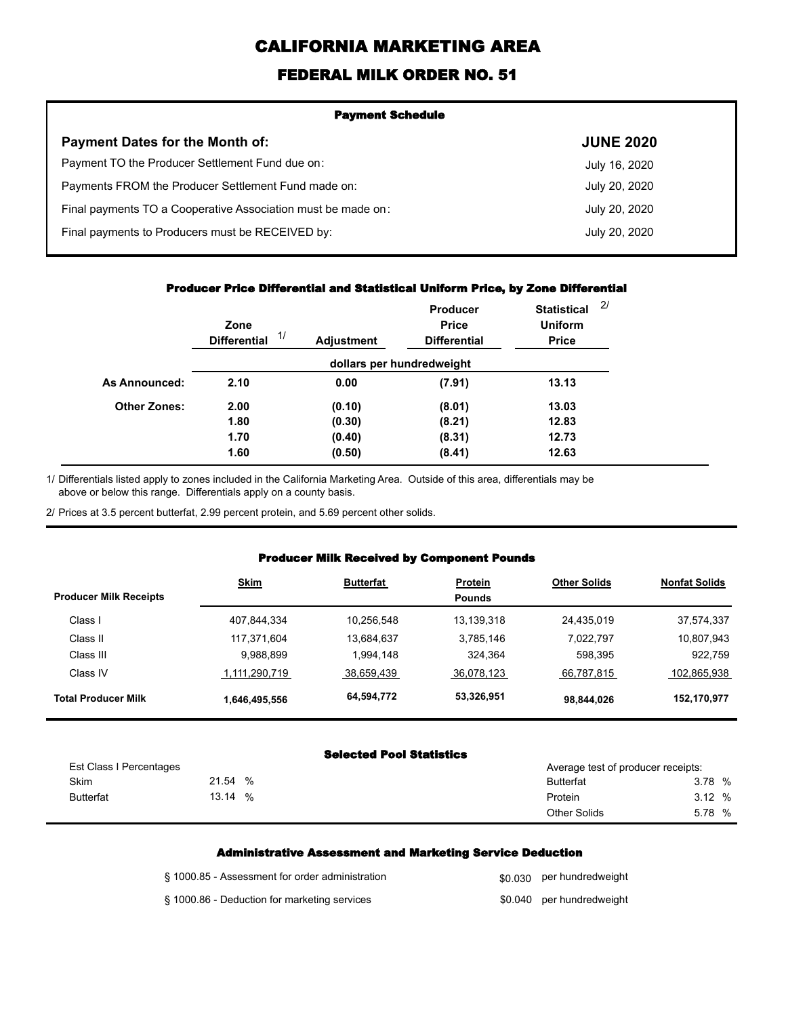# **CALIFORNIA MARKETING AREA**

## **FEDERAL MILK ORDER NO. 51**

| <b>Payment Schedule</b>                                      |                  |  |  |  |
|--------------------------------------------------------------|------------------|--|--|--|
| <b>Payment Dates for the Month of:</b>                       | <b>JUNE 2020</b> |  |  |  |
| Payment TO the Producer Settlement Fund due on:              | July 16, 2020    |  |  |  |
| Payments FROM the Producer Settlement Fund made on:          | July 20, 2020    |  |  |  |
| Final payments TO a Cooperative Association must be made on: | July 20, 2020    |  |  |  |
| Final payments to Producers must be RECEIVED by:             | July 20, 2020    |  |  |  |
|                                                              |                  |  |  |  |

#### **Producer Price Differential and Statistical Uniform Price, by Zone Differential**

|                     | Zone<br>1/<br><b>Differential</b> | <b>Adjustment</b> | <b>Producer</b><br><b>Price</b><br><b>Differential</b> | <b>Statistical</b><br><b>Uniform</b><br><b>Price</b> | 2 <sup>1</sup> |
|---------------------|-----------------------------------|-------------------|--------------------------------------------------------|------------------------------------------------------|----------------|
|                     |                                   |                   | dollars per hundredweight                              |                                                      |                |
| As Announced:       | 2.10                              | 0.00              | (7.91)                                                 | 13.13                                                |                |
| <b>Other Zones:</b> | 2.00                              | (0.10)            | (8.01)                                                 | 13.03                                                |                |
|                     | 1.80                              | (0.30)            | (8.21)                                                 | 12.83                                                |                |
|                     | 1.70                              | (0.40)            | (8.31)                                                 | 12.73                                                |                |
|                     | 1.60                              | (0.50)            | (8.41)                                                 | 12.63                                                |                |

Differentials listed apply to zones included in the California Marketing Area. Outside of this area, differentials may be above or below this range. Differentials apply on a county basis. 1/

2/ Prices at 3.5 percent butterfat, 2.99 percent protein, and 5.69 percent other solids.

#### **Producer Milk Received by Component Pounds**

| <b>Producer Milk Receipts</b> | <b>Skim</b>   | <b>Butterfat</b> | <b>Protein</b><br><b>Pounds</b> | <b>Other Solids</b> | <b>Nonfat Solids</b> |
|-------------------------------|---------------|------------------|---------------------------------|---------------------|----------------------|
| Class I                       | 407,844,334   | 10,256,548       | 13,139,318                      | 24,435,019          | 37,574,337           |
| Class II                      | 117,371,604   | 13,684,637       | 3,785,146                       | 7,022,797           | 10,807,943           |
| Class III                     | 9,988,899     | 1,994,148        | 324,364                         | 598,395             | 922,759              |
| Class IV                      | 1,111,290,719 | 38,659,439       | 36,078,123                      | 66,787,815          | 102,865,938          |
| <b>Total Producer Milk</b>    | 1,646,495,556 | 64,594,772       | 53,326,951                      | 98,844,026          | 152,170,977          |

#### **Selected Pool Statistics**

| Est Class I Percentages |            | Average test of producer receipts: |        |  |  |
|-------------------------|------------|------------------------------------|--------|--|--|
| Skim                    | 21.54 %    | <b>Butterfat</b>                   | 3.78 % |  |  |
| <b>Butterfat</b>        | 13.14<br>% | Protein                            | 3.12%  |  |  |
|                         |            | <b>Other Solids</b>                | 5.78 % |  |  |

#### **Administrative Assessment and Marketing Service Deduction**

| § 1000.85 - Assessment for order administration | \$0.030 per hundredweight |
|-------------------------------------------------|---------------------------|
| § 1000.86 - Deduction for marketing services    | \$0.040 per hundredweight |